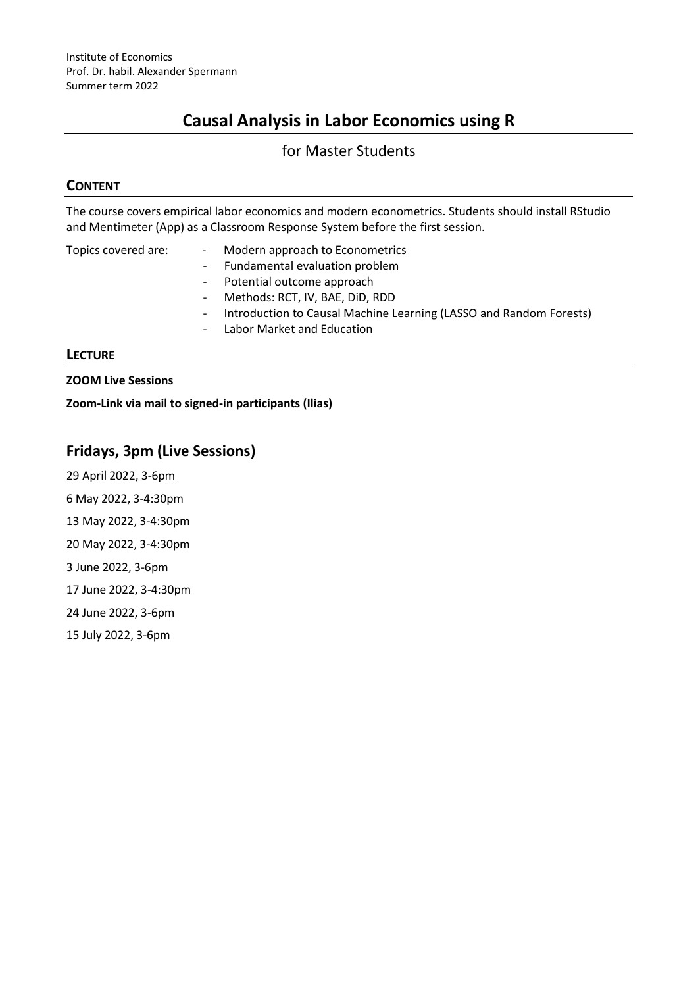# **Causal Analysis in Labor Economics using R**

### for Master Students

### **CONTENT**

The course covers empirical labor economics and modern econometrics. Students should install RStudio and Mentimeter (App) as a Classroom Response System before the first session.

| Topics covered are: | $\sim 10$<br>$\sim$ $-$ | Modern approach to Econometrics<br>- Fundamental evaluation problem<br>- Potential outcome approach<br>- Methods: RCT, IV, BAE, DID, RDD<br>Introduction to Causal Machine Learning (LASSO and Random Forests) |
|---------------------|-------------------------|----------------------------------------------------------------------------------------------------------------------------------------------------------------------------------------------------------------|
|                     |                         | - Labor Market and Education                                                                                                                                                                                   |

#### **LECTURE**

**ZOOM Live Sessions**

**Zoom-Link via mail to signed-in participants (Ilias)**

## **Fridays, 3pm (Live Sessions)**

- 29 April 2022, 3-6pm
- 6 May 2022, 3-4:30pm
- 13 May 2022, 3-4:30pm
- 20 May 2022, 3-4:30pm
- 3 June 2022, 3-6pm
- 17 June 2022, 3-4:30pm

24 June 2022, 3-6pm

15 July 2022, 3-6pm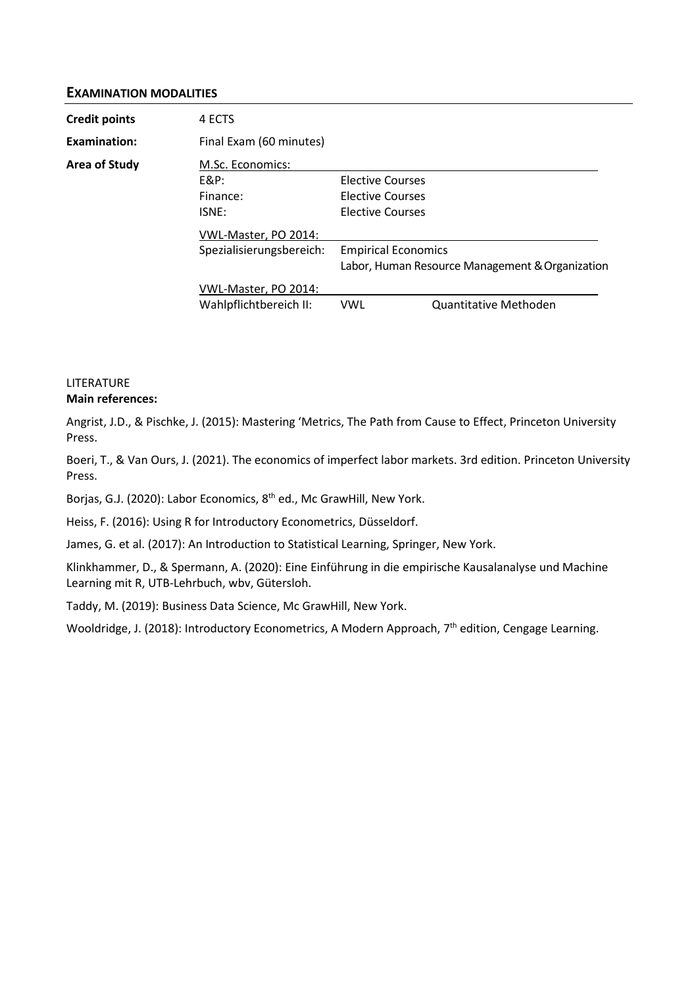#### **EXAMINATION MODALITIES**

| <b>Credit points</b> | 4 ECTS                   |                                                                               |                       |  |  |
|----------------------|--------------------------|-------------------------------------------------------------------------------|-----------------------|--|--|
| Examination:         | Final Exam (60 minutes)  |                                                                               |                       |  |  |
| <b>Area of Study</b> | M.Sc. Economics:         |                                                                               |                       |  |  |
|                      | $E&P$ :                  | Elective Courses                                                              |                       |  |  |
|                      | Finance:                 | Elective Courses                                                              |                       |  |  |
|                      | ISNE:                    | <b>Elective Courses</b>                                                       |                       |  |  |
|                      | VWL-Master, PO 2014:     |                                                                               |                       |  |  |
|                      | Spezialisierungsbereich: | <b>Empirical Economics</b><br>Labor, Human Resource Management & Organization |                       |  |  |
|                      |                          |                                                                               |                       |  |  |
|                      | VWL-Master, PO 2014:     |                                                                               |                       |  |  |
|                      | Wahlpflichtbereich II:   | <b>VWL</b>                                                                    | Quantitative Methoden |  |  |

#### LITERATURE **Main references:**

Angrist, J.D., & Pischke, J. (2015): Mastering 'Metrics, The Path from Cause to Effect, Princeton University Press.

Boeri, T., & Van Ours, J. (2021). The economics of imperfect labor markets. 3rd edition. Princeton University Press.

Borjas, G.J. (2020): Labor Economics, 8<sup>th</sup> ed., Mc GrawHill, New York.

Heiss, F. (2016): Using R for Introductory Econometrics, Düsseldorf.

James, G. et al. (2017): An Introduction to Statistical Learning, Springer, New York.

Klinkhammer, D., & Spermann, A. (2020): Eine Einführung in die empirische Kausalanalyse und Machine Learning mit R, UTB-Lehrbuch, wbv, Gütersloh.

Taddy, M. (2019): Business Data Science, Mc GrawHill, New York.

Wooldridge, J. (2018): Introductory Econometrics, A Modern Approach, 7<sup>th</sup> edition, Cengage Learning.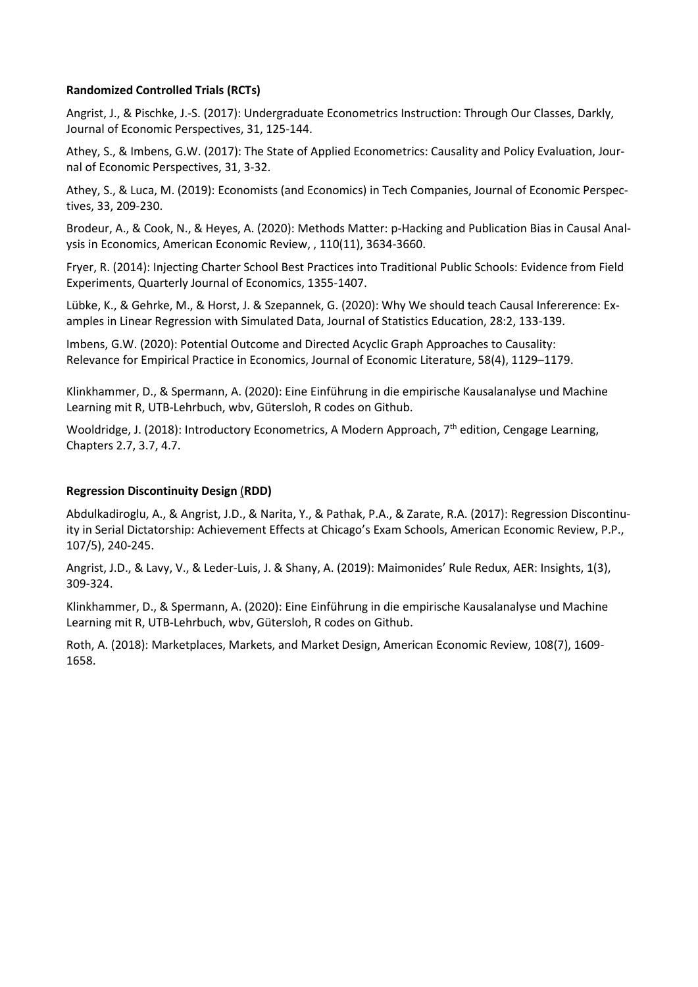#### **Randomized Controlled Trials (RCTs)**

Angrist, J., & Pischke, J.-S. (2017): Undergraduate Econometrics Instruction: Through Our Classes, Darkly, Journal of Economic Perspectives, 31, 125-144.

Athey, S., & Imbens, G.W. (2017): The State of Applied Econometrics: Causality and Policy Evaluation, Journal of Economic Perspectives, 31, 3-32.

Athey, S., & Luca, M. (2019): Economists (and Economics) in Tech Companies, Journal of Economic Perspectives, 33, 209-230.

Brodeur, A., & Cook, N., & Heyes, A. (2020): Methods Matter: p-Hacking and Publication Bias in Causal Analysis in Economics, American Economic Review, , 110(11), 3634-3660.

Fryer, R. (2014): Injecting Charter School Best Practices into Traditional Public Schools: Evidence from Field Experiments, Quarterly Journal of Economics, 1355-1407.

Lübke, K., & Gehrke, M., & Horst, J. & Szepannek, G. (2020): Why We should teach Causal Infererence: Examples in Linear Regression with Simulated Data, Journal of Statistics Education, 28:2, 133-139.

Imbens, G.W. (2020): Potential Outcome and Directed Acyclic Graph Approaches to Causality: Relevance for Empirical Practice in Economics, Journal of Economic Literature, 58(4), 1129–1179.

Klinkhammer, D., & Spermann, A. (2020): Eine Einführung in die empirische Kausalanalyse und Machine Learning mit R, UTB-Lehrbuch, wbv, Gütersloh, R codes on Github.

Wooldridge, J. (2018): Introductory Econometrics, A Modern Approach,  $7<sup>th</sup>$  edition, Cengage Learning, Chapters 2.7, 3.7, 4.7.

#### **Regression Discontinuity Design** (**RDD)**

Abdulkadiroglu, A., & Angrist, J.D., & Narita, Y., & Pathak, P.A., & Zarate, R.A. (2017): Regression Discontinuity in Serial Dictatorship: Achievement Effects at Chicago's Exam Schools, American Economic Review, P.P., 107/5), 240-245.

Angrist, J.D., & Lavy, V., & Leder-Luis, J. & Shany, A. (2019): Maimonides' Rule Redux, AER: Insights, 1(3), 309-324.

Klinkhammer, D., & Spermann, A. (2020): Eine Einführung in die empirische Kausalanalyse und Machine Learning mit R, UTB-Lehrbuch, wbv, Gütersloh, R codes on Github.

Roth, A. (2018): Marketplaces, Markets, and Market Design, American Economic Review, 108(7), 1609- 1658.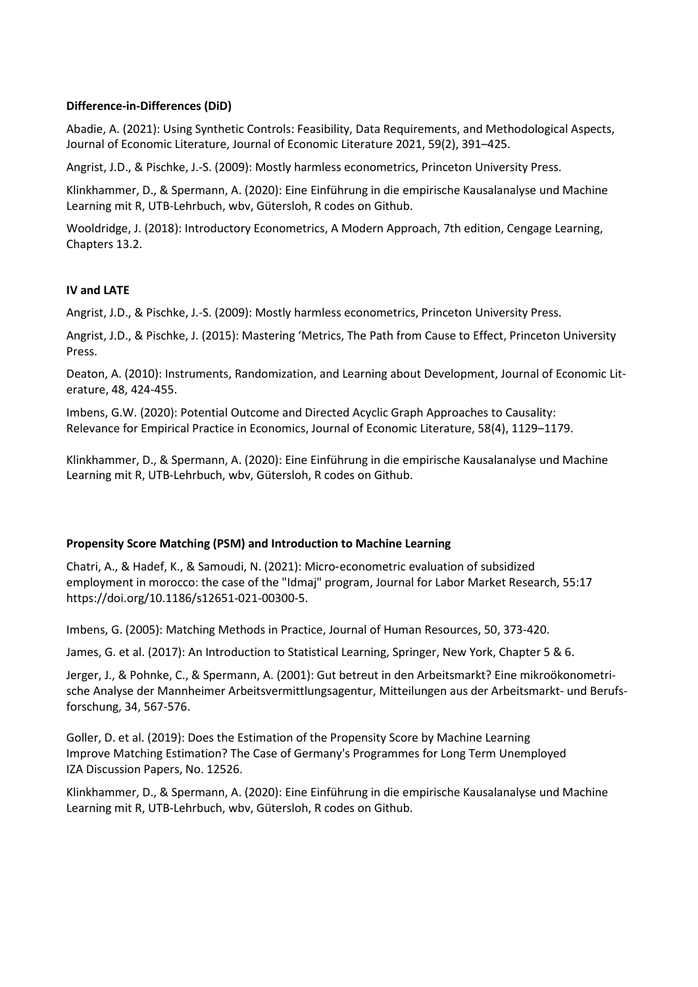#### **Difference-in-Differences (DiD)**

Abadie, A. (2021): Using Synthetic Controls: Feasibility, Data Requirements, and Methodological Aspects, Journal of Economic Literature, Journal of Economic Literature 2021, 59(2), 391–425.

Angrist, J.D., & Pischke, J.-S. (2009): Mostly harmless econometrics, Princeton University Press.

Klinkhammer, D., & Spermann, A. (2020): Eine Einführung in die empirische Kausalanalyse und Machine Learning mit R, UTB-Lehrbuch, wbv, Gütersloh, R codes on Github.

Wooldridge, J. (2018): Introductory Econometrics, A Modern Approach, 7th edition, Cengage Learning, Chapters 13.2.

#### **IV and LATE**

Angrist, J.D., & Pischke, J.-S. (2009): Mostly harmless econometrics, Princeton University Press.

Angrist, J.D., & Pischke, J. (2015): Mastering 'Metrics, The Path from Cause to Effect, Princeton University Press.

Deaton, A. (2010): Instruments, Randomization, and Learning about Development, Journal of Economic Literature, 48, 424-455.

Imbens, G.W. (2020): Potential Outcome and Directed Acyclic Graph Approaches to Causality: Relevance for Empirical Practice in Economics, Journal of Economic Literature, 58(4), 1129–1179.

Klinkhammer, D., & Spermann, A. (2020): Eine Einführung in die empirische Kausalanalyse und Machine Learning mit R, UTB-Lehrbuch, wbv, Gütersloh, R codes on Github.

#### **Propensity Score Matching (PSM) and Introduction to Machine Learning**

Chatri, A., & Hadef, K., & Samoudi, N. (2021): Micro‑econometric evaluation of subsidized employment in morocco: the case of the "Idmaj" program, Journal for Labor Market Research, 55:17 https://doi.org/10.1186/s12651-021-00300-5.

Imbens, G. (2005): Matching Methods in Practice, Journal of Human Resources, 50, 373-420.

James, G. et al. (2017): An Introduction to Statistical Learning, Springer, New York, Chapter 5 & 6.

Jerger, J., & Pohnke, C., & Spermann, A. (2001): Gut betreut in den Arbeitsmarkt? Eine mikroökonometrische Analyse der Mannheimer Arbeitsvermittlungsagentur, Mitteilungen aus der Arbeitsmarkt- und Berufsforschung, 34, 567-576.

Goller, D. et al. (2019): Does the Estimation of the Propensity Score by Machine Learning Improve Matching Estimation? The Case of Germany's Programmes for Long Term Unemployed IZA Discussion Papers, No. 12526.

Klinkhammer, D., & Spermann, A. (2020): Eine Einführung in die empirische Kausalanalyse und Machine Learning mit R, UTB-Lehrbuch, wbv, Gütersloh, R codes on Github.